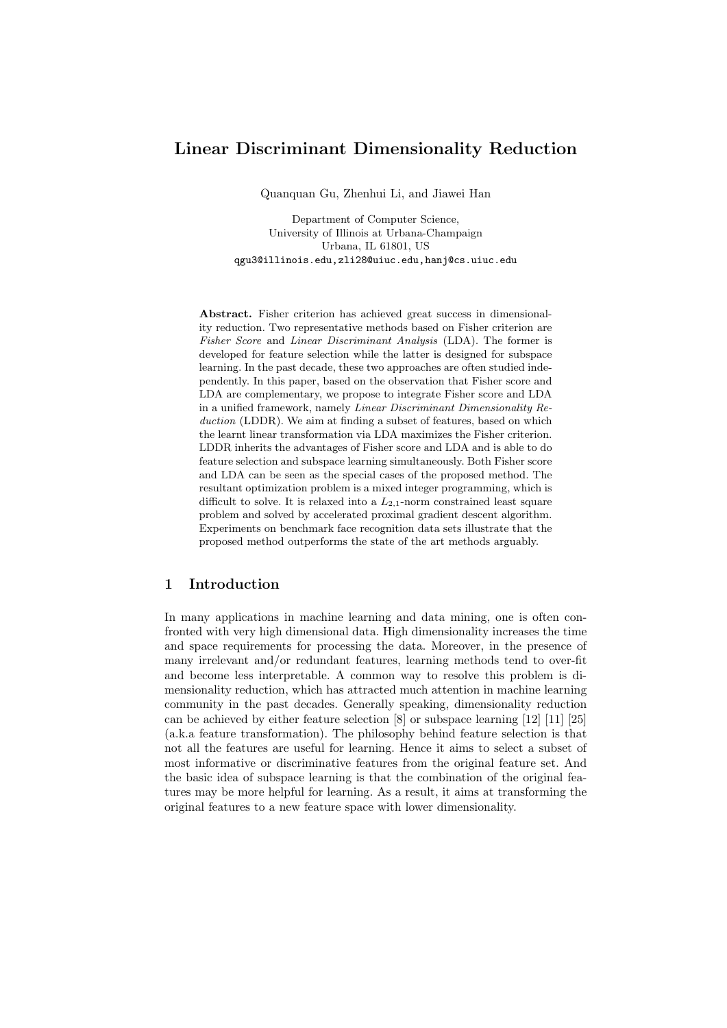# **Linear Discriminant Dimensionality Reduction**

Quanquan Gu, Zhenhui Li, and Jiawei Han

Department of Computer Science, University of Illinois at Urbana-Champaign Urbana, IL 61801, US qgu3@illinois.edu,zli28@uiuc.edu,hanj@cs.uiuc.edu

**Abstract.** Fisher criterion has achieved great success in dimensionality reduction. Two representative methods based on Fisher criterion are *Fisher Score* and *Linear Discriminant Analysis* (LDA). The former is developed for feature selection while the latter is designed for subspace learning. In the past decade, these two approaches are often studied independently. In this paper, based on the observation that Fisher score and LDA are complementary, we propose to integrate Fisher score and LDA in a unified framework, namely *Linear Discriminant Dimensionality Reduction* (LDDR). We aim at finding a subset of features, based on which the learnt linear transformation via LDA maximizes the Fisher criterion. LDDR inherits the advantages of Fisher score and LDA and is able to do feature selection and subspace learning simultaneously. Both Fisher score and LDA can be seen as the special cases of the proposed method. The resultant optimization problem is a mixed integer programming, which is difficult to solve. It is relaxed into a  $L_{2,1}$ -norm constrained least square problem and solved by accelerated proximal gradient descent algorithm. Experiments on benchmark face recognition data sets illustrate that the proposed method outperforms the state of the art methods arguably.

# **1 Introduction**

In many applications in machine learning and data mining, one is often confronted with very high dimensional data. High dimensionality increases the time and space requirements for processing the data. Moreover, in the presence of many irrelevant and/or redundant features, learning methods tend to over-fit and become less interpretable. A common way to resolve this problem is dimensionality reduction, which has attracted much attention in machine learning community in the past decades. Generally speaking, dimensionality reduction can be achieved by either feature selection [8] or subspace learning [12] [11] [25] (a.k.a feature transformation). The philosophy behind feature selection is that not all the features are useful for learning. Hence it aims to select a subset of most informative or discriminative features from the original feature set. And the basic idea of subspace learning is that the combination of the original features may be more helpful for learning. As a result, it aims at transforming the original features to a new feature space with lower dimensionality.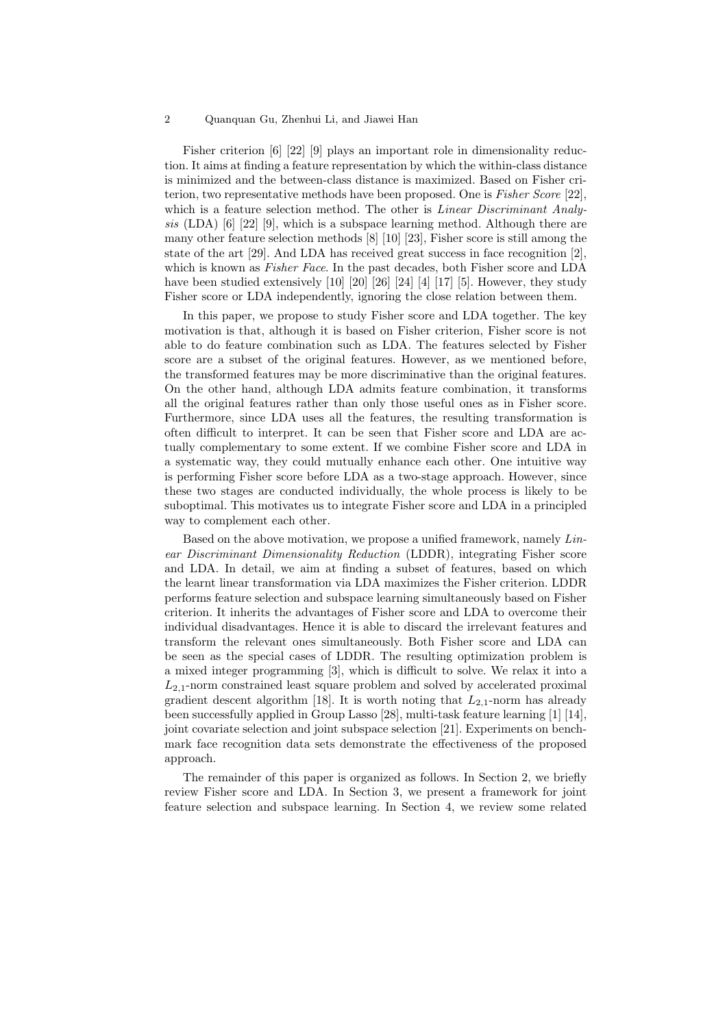Fisher criterion [6] [22] [9] plays an important role in dimensionality reduction. It aims at finding a feature representation by which the within-class distance is minimized and the between-class distance is maximized. Based on Fisher criterion, two representative methods have been proposed. One is *Fisher Score* [22], which is a feature selection method. The other is *Linear Discriminant Analysis* (LDA) [6] [22] [9], which is a subspace learning method. Although there are many other feature selection methods [8] [10] [23], Fisher score is still among the state of the art [29]. And LDA has received great success in face recognition [2], which is known as *Fisher Face*. In the past decades, both Fisher score and LDA have been studied extensively [10] [20] [26] [24] [4] [17] [5]. However, they study Fisher score or LDA independently, ignoring the close relation between them.

In this paper, we propose to study Fisher score and LDA together. The key motivation is that, although it is based on Fisher criterion, Fisher score is not able to do feature combination such as LDA. The features selected by Fisher score are a subset of the original features. However, as we mentioned before, the transformed features may be more discriminative than the original features. On the other hand, although LDA admits feature combination, it transforms all the original features rather than only those useful ones as in Fisher score. Furthermore, since LDA uses all the features, the resulting transformation is often difficult to interpret. It can be seen that Fisher score and LDA are actually complementary to some extent. If we combine Fisher score and LDA in a systematic way, they could mutually enhance each other. One intuitive way is performing Fisher score before LDA as a two-stage approach. However, since these two stages are conducted individually, the whole process is likely to be suboptimal. This motivates us to integrate Fisher score and LDA in a principled way to complement each other.

Based on the above motivation, we propose a unified framework, namely *Linear Discriminant Dimensionality Reduction* (LDDR), integrating Fisher score and LDA. In detail, we aim at finding a subset of features, based on which the learnt linear transformation via LDA maximizes the Fisher criterion. LDDR performs feature selection and subspace learning simultaneously based on Fisher criterion. It inherits the advantages of Fisher score and LDA to overcome their individual disadvantages. Hence it is able to discard the irrelevant features and transform the relevant ones simultaneously. Both Fisher score and LDA can be seen as the special cases of LDDR. The resulting optimization problem is a mixed integer programming [3], which is difficult to solve. We relax it into a *L*2*,*1-norm constrained least square problem and solved by accelerated proximal gradient descent algorithm [18]. It is worth noting that  $L_{2,1}$ -norm has already been successfully applied in Group Lasso [28], multi-task feature learning [1] [14], joint covariate selection and joint subspace selection [21]. Experiments on benchmark face recognition data sets demonstrate the effectiveness of the proposed approach.

The remainder of this paper is organized as follows. In Section 2, we briefly review Fisher score and LDA. In Section 3, we present a framework for joint feature selection and subspace learning. In Section 4, we review some related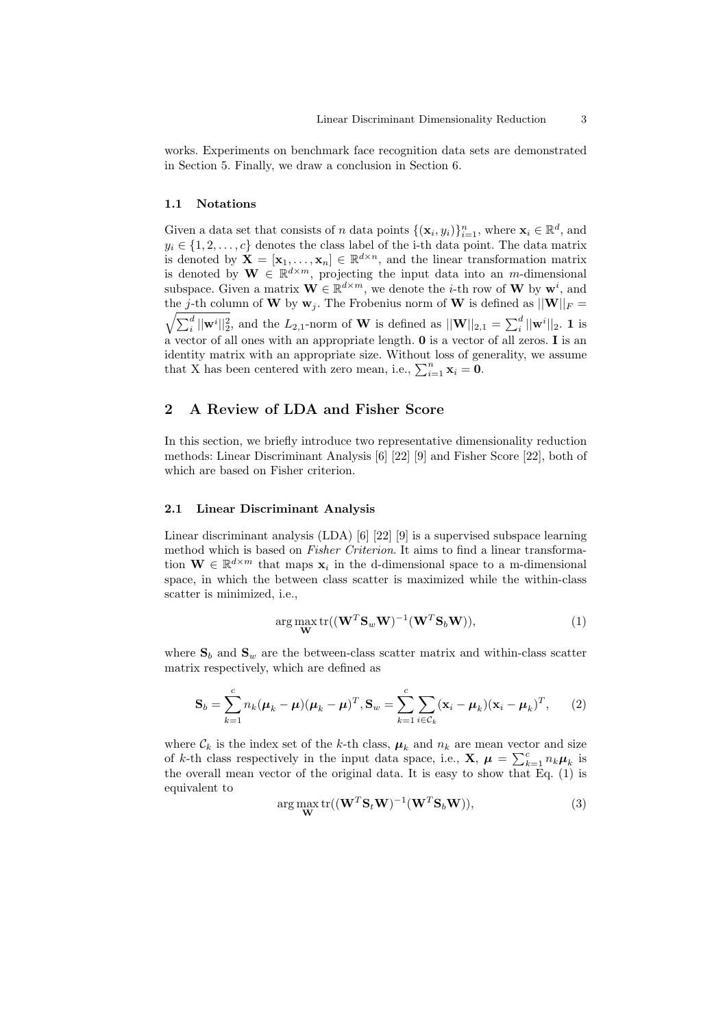works. Experiments on benchmark face recognition data sets are demonstrated in Section 5. Finally, we draw a conclusion in Section 6.

#### **1.1 Notations**

Given a data set that consists of *n* data points  $\{(\mathbf{x}_i, y_i)\}_{i=1}^n$ , where  $\mathbf{x}_i \in \mathbb{R}^d$ , and  $y_i \in \{1, 2, \ldots, c\}$  denotes the class label of the i-th data point. The data matrix is denoted by  $\mathbf{X} = [\mathbf{x}_1, \dots, \mathbf{x}_n] \in \mathbb{R}^{d \times n}$ , and the linear transformation matrix is denoted by  $\mathbf{W} \in \mathbb{R}^{d \times m}$ , projecting the input data into an *m*-dimensional subspace. Given a matrix  $\mathbf{W} \in \mathbb{R}^{d \times m}$ , we denote the *i*-th row of  $\mathbf{W}$  by  $\mathbf{w}^i$ , and the *j*-th column of **W** by  $\mathbf{w}_j$ . The Frobenius norm of **W** is defined as  $||\mathbf{W}||_F =$  $\sqrt{\sum_{i}^{d}||\mathbf{w}^{i}||_{2}^{2}}$ , and the  $L_{2,1}$ -norm of **W** is defined as  $||\mathbf{W}||_{2,1} = \sum_{i}^{d}||\mathbf{w}^{i}||_{2}$ . 1 is a vector of all ones with an appropriate length. **0** is a vector of all zeros. **I** is an identity matrix with an appropriate size. Without loss of generality, we assume that X has been centered with zero mean, i.e.,  $\sum_{i=1}^{n} \mathbf{x}_i = \mathbf{0}$ .

# **2 A Review of LDA and Fisher Score**

In this section, we briefly introduce two representative dimensionality reduction methods: Linear Discriminant Analysis [6] [22] [9] and Fisher Score [22], both of which are based on Fisher criterion.

#### **2.1 Linear Discriminant Analysis**

Linear discriminant analysis (LDA) [6] [22] [9] is a supervised subspace learning method which is based on *Fisher Criterion*. It aims to find a linear transformation  $\mathbf{W} \in \mathbb{R}^{d \times m}$  that maps  $\mathbf{x}_i$  in the d-dimensional space to a m-dimensional space, in which the between class scatter is maximized while the within-class scatter is minimized, i.e.,

$$
\arg\max_{\mathbf{W}} \text{tr}((\mathbf{W}^T \mathbf{S}_w \mathbf{W})^{-1} (\mathbf{W}^T \mathbf{S}_b \mathbf{W})),\tag{1}
$$

where  $S_b$  and  $S_w$  are the between-class scatter matrix and within-class scatter matrix respectively, which are defined as

$$
\mathbf{S}_b = \sum_{k=1}^c n_k (\boldsymbol{\mu}_k - \boldsymbol{\mu}) (\boldsymbol{\mu}_k - \boldsymbol{\mu})^T, \mathbf{S}_w = \sum_{k=1}^c \sum_{i \in \mathcal{C}_k} (\mathbf{x}_i - \boldsymbol{\mu}_k) (\mathbf{x}_i - \boldsymbol{\mu}_k)^T, \qquad (2)
$$

where  $\mathcal{C}_k$  is the index set of the *k*-th class,  $\mu_k$  and  $n_k$  are mean vector and size of *k*-th class respectively in the input data space, i.e., **X**,  $\mu = \sum_{k=1}^{c} n_k \mu_k$  is the overall mean vector of the original data. It is easy to show that Eq. (1) is equivalent to

$$
\arg\max_{\mathbf{W}} \text{tr}((\mathbf{W}^T \mathbf{S}_t \mathbf{W})^{-1} (\mathbf{W}^T \mathbf{S}_b \mathbf{W})),\tag{3}
$$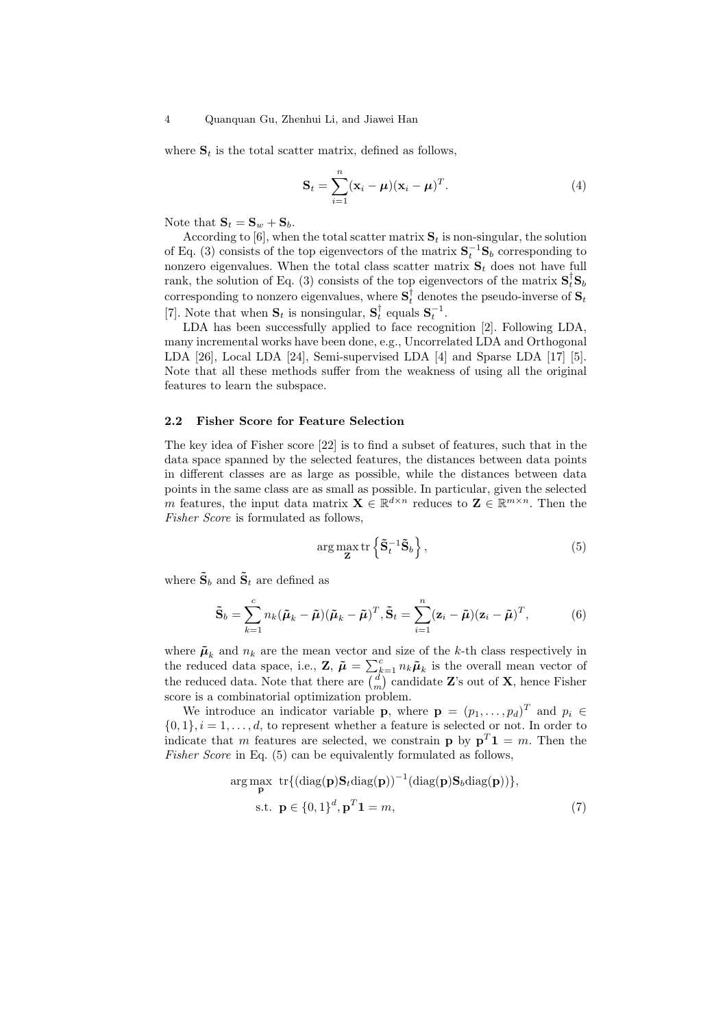where  $S_t$  is the total scatter matrix, defined as follows,

$$
\mathbf{S}_t = \sum_{i=1}^n (\mathbf{x}_i - \boldsymbol{\mu})(\mathbf{x}_i - \boldsymbol{\mu})^T.
$$
 (4)

Note that  $\mathbf{S}_t = \mathbf{S}_w + \mathbf{S}_b$ .

According to [6], when the total scatter matrix  $S_t$  is non-singular, the solution of Eq. (3) consists of the top eigenvectors of the matrix  $S_t^{-1}S_b$  corresponding to nonzero eigenvalues. When the total class scatter matrix  $S_t$  does not have full rank, the solution of Eq. (3) consists of the top eigenvectors of the matrix  $S_t^{\dagger} S_b$ corresponding to nonzero eigenvalues, where  $S_t^{\dagger}$  denotes the pseudo-inverse of  $S_t$ [7]. Note that when  $\mathbf{S}_t$  is nonsingular,  $\mathbf{S}_t^{\dagger}$  equals  $\mathbf{S}_t^{-1}$ .

LDA has been successfully applied to face recognition [2]. Following LDA, many incremental works have been done, e.g., Uncorrelated LDA and Orthogonal LDA [26], Local LDA [24], Semi-supervised LDA [4] and Sparse LDA [17] [5]. Note that all these methods suffer from the weakness of using all the original features to learn the subspace.

## **2.2 Fisher Score for Feature Selection**

The key idea of Fisher score [22] is to find a subset of features, such that in the data space spanned by the selected features, the distances between data points in different classes are as large as possible, while the distances between data points in the same class are as small as possible. In particular, given the selected *m* features, the input data matrix  $\mathbf{X} \in \mathbb{R}^{d \times n}$  reduces to  $\mathbf{Z} \in \mathbb{R}^{m \times n}$ . Then the *Fisher Score* is formulated as follows,

$$
\arg\max_{\mathbf{Z}} \text{tr}\left\{ \tilde{\mathbf{S}}_t^{-1} \tilde{\mathbf{S}}_b \right\},\tag{5}
$$

where  $\tilde{\mathbf{S}}_b$  and  $\tilde{\mathbf{S}}_t$  are defined as

$$
\tilde{\mathbf{S}}_b = \sum_{k=1}^c n_k (\tilde{\boldsymbol{\mu}}_k - \tilde{\boldsymbol{\mu}}) (\tilde{\boldsymbol{\mu}}_k - \tilde{\boldsymbol{\mu}})^T, \tilde{\mathbf{S}}_t = \sum_{i=1}^n (\mathbf{z}_i - \tilde{\boldsymbol{\mu}}) (\mathbf{z}_i - \tilde{\boldsymbol{\mu}})^T,
$$
(6)

where  $\tilde{\mu}_k$  and  $n_k$  are the mean vector and size of the *k*-th class respectively in the reduced data space, i.e., **Z**,  $\tilde{\mu} = \sum_{k=1}^{c} n_k \tilde{\mu}_k$  is the overall mean vector of the reduced data. Note that there are  $\binom{d}{m}$  candidate **Z**'s out of **X**, hence Fisher score is a combinatorial optimization problem.

We introduce an indicator variable **p**, where  $\mathbf{p} = (p_1, \ldots, p_d)^T$  and  $p_i \in$  $\{0,1\}, i = 1, \ldots, d$ , to represent whether a feature is selected or not. In order to indicate that *m* features are selected, we constrain **p** by  $p^T 1 = m$ . Then the *Fisher Score* in Eq. (5) can be equivalently formulated as follows,

$$
\arg\max_{\mathbf{p}} \text{ tr}\{(\text{diag}(\mathbf{p})\mathbf{S}_t \text{diag}(\mathbf{p}))^{-1}(\text{diag}(\mathbf{p})\mathbf{S}_b \text{diag}(\mathbf{p}))\},
$$
  
s.t.  $\mathbf{p} \in \{0, 1\}^d, \mathbf{p}^T \mathbf{1} = m,$  (7)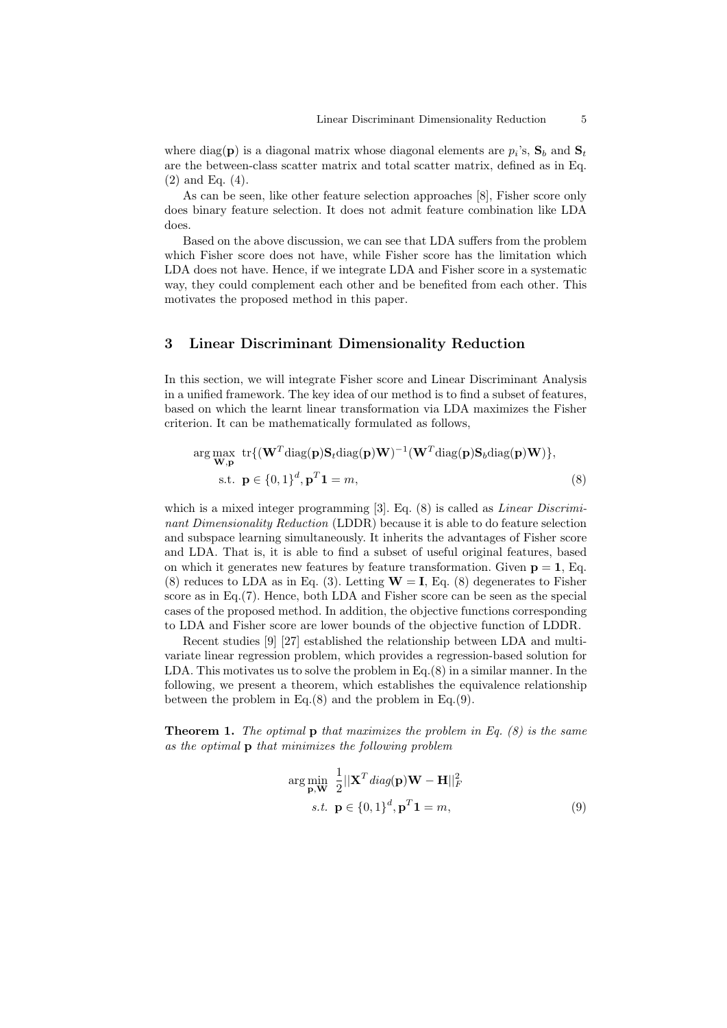where  $diag(\mathbf{p})$  is a diagonal matrix whose diagonal elements are  $p_i$ 's,  $\mathbf{S}_b$  and  $\mathbf{S}_t$ are the between-class scatter matrix and total scatter matrix, defined as in Eq. (2) and Eq. (4).

As can be seen, like other feature selection approaches [8], Fisher score only does binary feature selection. It does not admit feature combination like LDA does.

Based on the above discussion, we can see that LDA suffers from the problem which Fisher score does not have, while Fisher score has the limitation which LDA does not have. Hence, if we integrate LDA and Fisher score in a systematic way, they could complement each other and be benefited from each other. This motivates the proposed method in this paper.

# **3 Linear Discriminant Dimensionality Reduction**

In this section, we will integrate Fisher score and Linear Discriminant Analysis in a unified framework. The key idea of our method is to find a subset of features, based on which the learnt linear transformation via LDA maximizes the Fisher criterion. It can be mathematically formulated as follows,

$$
\arg \max_{\mathbf{W}, \mathbf{p}} \text{tr}\{(\mathbf{W}^T \text{diag}(\mathbf{p}) \mathbf{S}_t \text{diag}(\mathbf{p}) \mathbf{W})^{-1} (\mathbf{W}^T \text{diag}(\mathbf{p}) \mathbf{S}_b \text{diag}(\mathbf{p}) \mathbf{W})\},
$$
  
s.t.  $\mathbf{p} \in \{0, 1\}^d, \mathbf{p}^T \mathbf{1} = m,$  (8)

which is a mixed integer programming [3]. Eq. (8) is called as *Linear Discriminant Dimensionality Reduction* (LDDR) because it is able to do feature selection and subspace learning simultaneously. It inherits the advantages of Fisher score and LDA. That is, it is able to find a subset of useful original features, based on which it generates new features by feature transformation. Given  $p = 1$ , Eq. (8) reduces to LDA as in Eq. (3). Letting  $W = I$ , Eq. (8) degenerates to Fisher score as in Eq.(7). Hence, both LDA and Fisher score can be seen as the special cases of the proposed method. In addition, the objective functions corresponding to LDA and Fisher score are lower bounds of the objective function of LDDR.

Recent studies [9] [27] established the relationship between LDA and multivariate linear regression problem, which provides a regression-based solution for LDA. This motivates us to solve the problem in Eq.(8) in a similar manner. In the following, we present a theorem, which establishes the equivalence relationship between the problem in Eq. $(8)$  and the problem in Eq. $(9)$ .

**Theorem 1.** *The optimal* **p** *that maximizes the problem in Eq. (8) is the same as the optimal* **p** *that minimizes the following problem*

$$
\arg\min_{\mathbf{p}, \mathbf{W}} \frac{1}{2} ||\mathbf{X}^T \operatorname{diag}(\mathbf{p}) \mathbf{W} - \mathbf{H}||_F^2
$$
  
s.t. 
$$
\mathbf{p} \in \{0, 1\}^d, \mathbf{p}^T \mathbf{1} = m,
$$
 (9)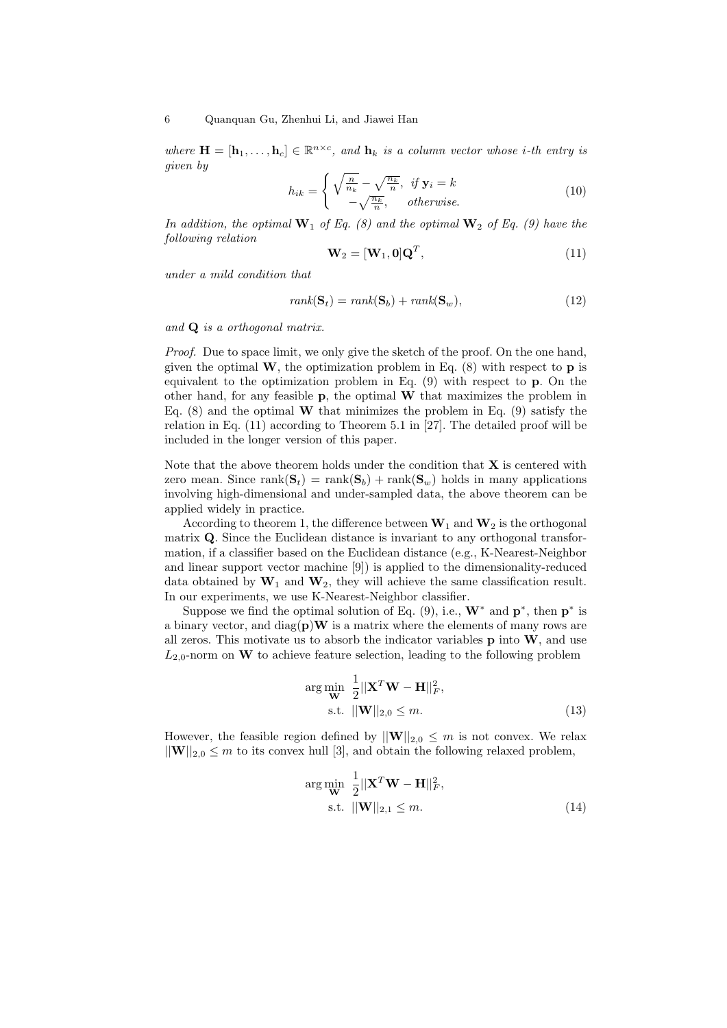*where*  $\mathbf{H} = [\mathbf{h}_1, \dots, \mathbf{h}_c] \in \mathbb{R}^{n \times c}$ , and  $\mathbf{h}_k$  is a column vector whose *i*-th entry is *given by*

$$
h_{ik} = \begin{cases} \sqrt{\frac{n}{n_k}} - \sqrt{\frac{n_k}{n}}, & \text{if } \mathbf{y}_i = k \\ -\sqrt{\frac{n_k}{n}}, & \text{otherwise.} \end{cases}
$$
 (10)

In addition, the optimal  $\mathbf{W}_1$  of Eq. (8) and the optimal  $\mathbf{W}_2$  of Eq. (9) have the *following relation*

$$
\mathbf{W}_2 = [\mathbf{W}_1, \mathbf{0}]\mathbf{Q}^T, \tag{11}
$$

*under a mild condition that*

$$
rank(\mathbf{S}_t) = rank(\mathbf{S}_b) + rank(\mathbf{S}_w), \qquad (12)
$$

*and* **Q** *is a orthogonal matrix.*

*Proof.* Due to space limit, we only give the sketch of the proof. On the one hand, given the optimal  $W$ , the optimization problem in Eq.  $(8)$  with respect to **p** is equivalent to the optimization problem in Eq. (9) with respect to **p**. On the other hand, for any feasible **p**, the optimal **W** that maximizes the problem in Eq.  $(8)$  and the optimal **W** that minimizes the problem in Eq.  $(9)$  satisfy the relation in Eq. (11) according to Theorem 5.1 in [27]. The detailed proof will be included in the longer version of this paper.

Note that the above theorem holds under the condition that **X** is centered with zero mean. Since  $\text{rank}(\mathbf{S}_t) = \text{rank}(\mathbf{S}_b) + \text{rank}(\mathbf{S}_w)$  holds in many applications involving high-dimensional and under-sampled data, the above theorem can be applied widely in practice.

According to theorem 1, the difference between  $W_1$  and  $W_2$  is the orthogonal matrix **Q**. Since the Euclidean distance is invariant to any orthogonal transformation, if a classifier based on the Euclidean distance (e.g., K-Nearest-Neighbor and linear support vector machine [9]) is applied to the dimensionality-reduced data obtained by  $W_1$  and  $W_2$ , they will achieve the same classification result. In our experiments, we use K-Nearest-Neighbor classifier.

Suppose we find the optimal solution of Eq.  $(9)$ , i.e.,  $W^*$  and  $p^*$ , then  $p^*$  is a binary vector, and  $diag(\mathbf{p})\mathbf{W}$  is a matrix where the elements of many rows are all zeros. This motivate us to absorb the indicator variables **p** into **W**, and use  $L_{2,0}$ -norm on **W** to achieve feature selection, leading to the following problem

$$
\arg\min_{\mathbf{W}} \frac{1}{2} ||\mathbf{X}^T \mathbf{W} - \mathbf{H}||_F^2,
$$
  
s.t. 
$$
||\mathbf{W}||_{2,0} \le m.
$$
 (13)

However, the feasible region defined by  $||\mathbf{W}||_{2,0} \leq m$  is not convex. We relax  $||\mathbf{W}||_{2,0} \leq m$  to its convex hull [3], and obtain the following relaxed problem,

$$
\arg\min_{\mathbf{W}} \frac{1}{2} ||\mathbf{X}^T \mathbf{W} - \mathbf{H}||_F^2,
$$
  
s.t. 
$$
||\mathbf{W}||_{2,1} \le m.
$$
 (14)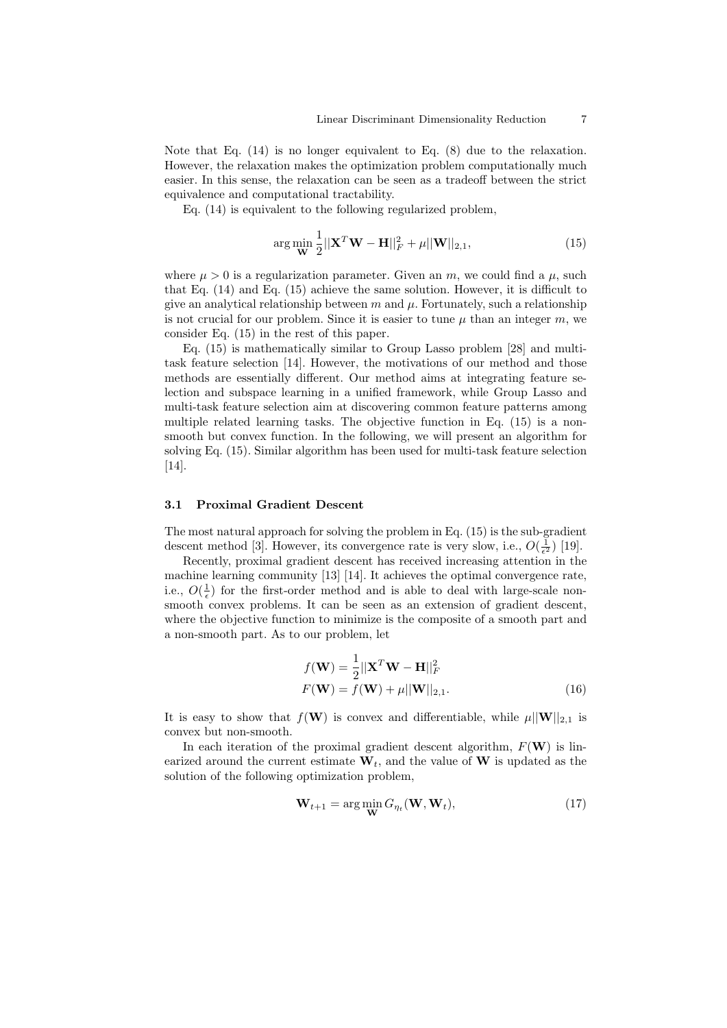Note that Eq.  $(14)$  is no longer equivalent to Eq.  $(8)$  due to the relaxation. However, the relaxation makes the optimization problem computationally much easier. In this sense, the relaxation can be seen as a tradeoff between the strict equivalence and computational tractability.

Eq.  $(14)$  is equivalent to the following regularized problem.

$$
\arg\min_{\mathbf{W}} \frac{1}{2} ||\mathbf{X}^T \mathbf{W} - \mathbf{H}||_F^2 + \mu ||\mathbf{W}||_{2,1},
$$
\n(15)

where  $\mu > 0$  is a regularization parameter. Given an *m*, we could find a  $\mu$ , such that Eq. (14) and Eq. (15) achieve the same solution. However, it is difficult to give an analytical relationship between  $m$  and  $\mu$ . Fortunately, such a relationship is not crucial for our problem. Since it is easier to tune  $\mu$  than an integer  $m$ , we consider Eq. (15) in the rest of this paper.

Eq. (15) is mathematically similar to Group Lasso problem [28] and multitask feature selection [14]. However, the motivations of our method and those methods are essentially different. Our method aims at integrating feature selection and subspace learning in a unified framework, while Group Lasso and multi-task feature selection aim at discovering common feature patterns among multiple related learning tasks. The objective function in Eq. (15) is a nonsmooth but convex function. In the following, we will present an algorithm for solving Eq. (15). Similar algorithm has been used for multi-task feature selection [14].

## **3.1 Proximal Gradient Descent**

The most natural approach for solving the problem in Eq. (15) is the sub-gradient descent method [3]. However, its convergence rate is very slow, i.e.,  $O(\frac{1}{\epsilon^2})$  [19].

Recently, proximal gradient descent has received increasing attention in the machine learning community [13] [14]. It achieves the optimal convergence rate, i.e.,  $O(\frac{1}{\epsilon})$  for the first-order method and is able to deal with large-scale nonsmooth convex problems. It can be seen as an extension of gradient descent, where the objective function to minimize is the composite of a smooth part and a non-smooth part. As to our problem, let

$$
f(\mathbf{W}) = \frac{1}{2} ||\mathbf{X}^T \mathbf{W} - \mathbf{H}||_F^2
$$
  

$$
F(\mathbf{W}) = f(\mathbf{W}) + \mu ||\mathbf{W}||_{2,1}.
$$
 (16)

It is easy to show that  $f(\mathbf{W})$  is convex and differentiable, while  $\mu||\mathbf{W}||_{2,1}$  is convex but non-smooth.

In each iteration of the proximal gradient descent algorithm,  $F(\mathbf{W})$  is linearized around the current estimate  $W_t$ , and the value of **W** is updated as the solution of the following optimization problem,

$$
\mathbf{W}_{t+1} = \arg\min_{\mathbf{W}} G_{\eta_t}(\mathbf{W}, \mathbf{W}_t),
$$
\n(17)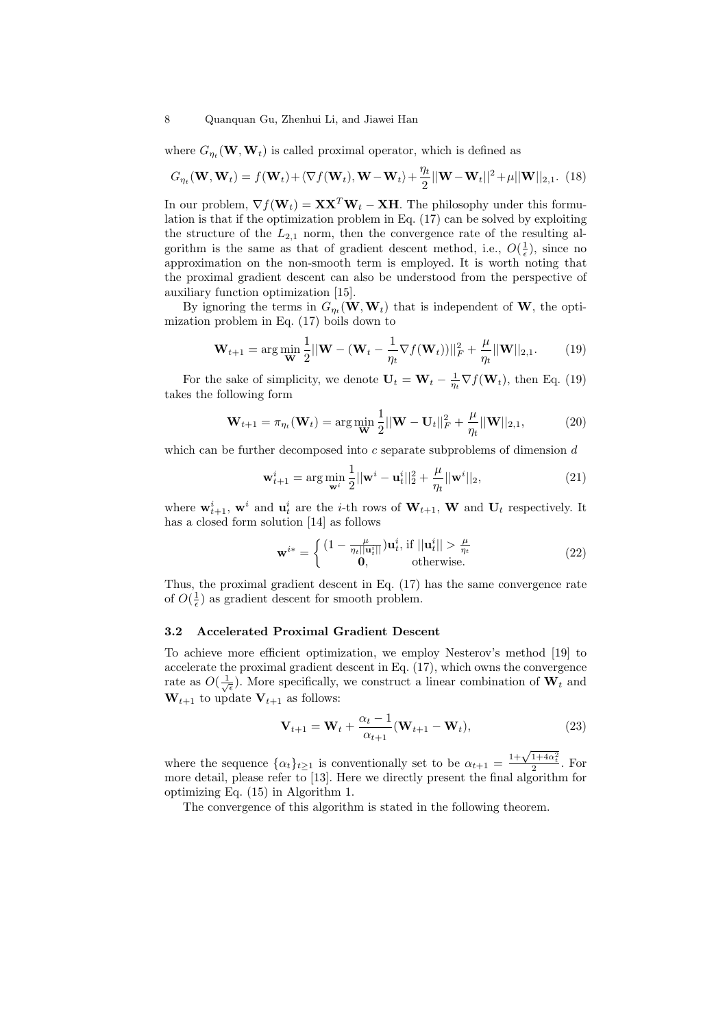where  $G_{\eta_t}(\mathbf{W}, \mathbf{W}_t)$  is called proximal operator, which is defined as

$$
G_{\eta_t}(\mathbf{W}, \mathbf{W}_t) = f(\mathbf{W}_t) + \langle \nabla f(\mathbf{W}_t), \mathbf{W} - \mathbf{W}_t \rangle + \frac{\eta_t}{2} ||\mathbf{W} - \mathbf{W}_t||^2 + \mu ||\mathbf{W}||_{2,1}.
$$
 (18)

In our problem,  $\nabla f(\mathbf{W}_t) = \mathbf{X}\mathbf{X}^T\mathbf{W}_t - \mathbf{X}\mathbf{H}$ . The philosophy under this formulation is that if the optimization problem in Eq. (17) can be solved by exploiting the structure of the  $L_{2,1}$  norm, then the convergence rate of the resulting algorithm is the same as that of gradient descent method, i.e.,  $O(\frac{1}{\epsilon})$ , since no approximation on the non-smooth term is employed. It is worth noting that the proximal gradient descent can also be understood from the perspective of auxiliary function optimization [15].

By ignoring the terms in  $G_{\eta_t}(\mathbf{W}, \mathbf{W}_t)$  that is independent of **W**, the optimization problem in Eq. (17) boils down to

$$
\mathbf{W}_{t+1} = \arg\min_{\mathbf{W}} \frac{1}{2} ||\mathbf{W} - (\mathbf{W}_t - \frac{1}{\eta_t} \nabla f(\mathbf{W}_t) ||_F^2 + \frac{\mu}{\eta_t} ||\mathbf{W}||_{2,1}.
$$
 (19)

For the sake of simplicity, we denote  $\mathbf{U}_t = \mathbf{W}_t - \frac{1}{\eta_t} \nabla f(\mathbf{W}_t)$ , then Eq. (19) takes the following form

$$
\mathbf{W}_{t+1} = \pi_{\eta_t}(\mathbf{W}_t) = \arg\min_{\mathbf{W}} \frac{1}{2} ||\mathbf{W} - \mathbf{U}_t||_F^2 + \frac{\mu}{\eta_t} ||\mathbf{W}||_{2,1},
$$
(20)

which can be further decomposed into *c* separate subproblems of dimension *d*

$$
\mathbf{w}_{t+1}^{i} = \arg \min_{\mathbf{w}^{i}} \frac{1}{2} ||\mathbf{w}^{i} - \mathbf{u}_{t}^{i}||_{2}^{2} + \frac{\mu}{\eta_{t}} ||\mathbf{w}^{i}||_{2},
$$
\n(21)

where  $\mathbf{w}_{t+1}^i$ ,  $\mathbf{w}^i$  and  $\mathbf{u}_t^i$  are the *i*-th rows of  $\mathbf{W}_{t+1}$ ,  $\mathbf{W}$  and  $\mathbf{U}_t$  respectively. It has a closed form solution [14] as follows

$$
\mathbf{w}^{i*} = \begin{cases} (1 - \frac{\mu}{\eta_t ||\mathbf{u}_t^i||}) \mathbf{u}_t^i, \text{ if } ||\mathbf{u}_t^i|| > \frac{\mu}{\eta_t} \\ \mathbf{0}, \qquad \text{otherwise.} \end{cases} \tag{22}
$$

Thus, the proximal gradient descent in Eq. (17) has the same convergence rate of  $O(\frac{1}{\epsilon})$  as gradient descent for smooth problem.

#### **3.2 Accelerated Proximal Gradient Descent**

To achieve more efficient optimization, we employ Nesterov's method [19] to accelerate the proximal gradient descent in Eq. (17), which owns the convergence rate as  $O(\frac{1}{\sqrt{\epsilon}})$ . More specifically, we construct a linear combination of  $\mathbf{W}_t$  and  $W_{t+1}$  to update  $V_{t+1}$  as follows:

$$
\mathbf{V}_{t+1} = \mathbf{W}_t + \frac{\alpha_t - 1}{\alpha_{t+1}} (\mathbf{W}_{t+1} - \mathbf{W}_t),
$$
\n(23)

where the sequence  $\{\alpha_t\}_{t\geq 1}$  is conventionally set to be  $\alpha_{t+1}$  $\frac{1+\sqrt{1+4\alpha_t^2}}{2}$ . For more detail, please refer to [13]. Here we directly present the final algorithm for optimizing Eq. (15) in Algorithm 1.

The convergence of this algorithm is stated in the following theorem.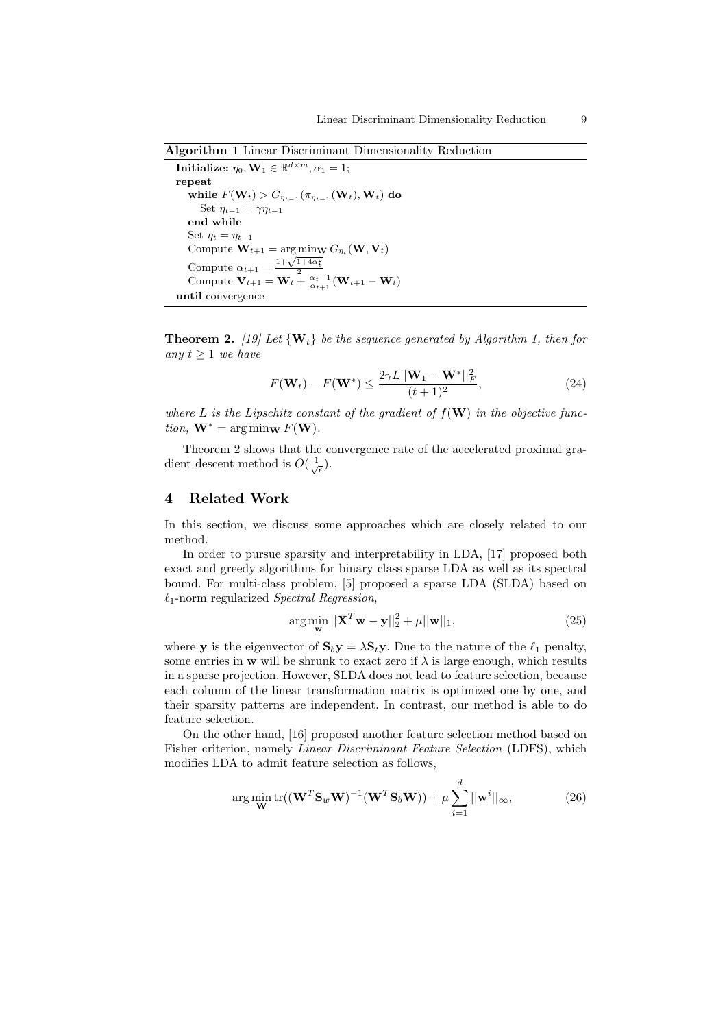**Algorithm 1** Linear Discriminant Dimensionality Reduction

**Initialize:**  $\eta_0$ ,  $\mathbf{W}_1 \in \mathbb{R}^{d \times m}$ ,  $\alpha_1 = 1$ ; **repeat**  $W$ **hile**  $F(\mathbf{W}_t) > G_{\eta_{t-1}}(\pi_{\eta_{t-1}}(\mathbf{W}_t), \mathbf{W}_t)$  do Set  $\eta_{t-1} = \gamma \eta_{t-1}$ **end while** Set  $\eta_t = \eta_{t-1}$  $\text{Compute } \mathbf{W}_{t+1} = \arg \min_{\mathbf{W}} G_{\eta_t}(\mathbf{W}, \mathbf{V}_t)$  $\text{Compute } \mathbf{V}_{t+1} = \frac{1+\sqrt{1+4\alpha_t^2}}{2}$   $\text{Compute } \mathbf{V}_{t+1} = \mathbf{W}_t + \frac{2}{\alpha_{t+1}} (\mathbf{W}_{t+1} - \mathbf{W}_t)$ **until** convergence

**Theorem 2.** [19] Let  $\{W_t\}$  be the sequence generated by Algorithm 1, then for *any*  $t ≥ 1$  *we have* 

$$
F(\mathbf{W}_{t}) - F(\mathbf{W}^{*}) \le \frac{2\gamma L ||\mathbf{W}_{1} - \mathbf{W}^{*}||_{F}^{2}}{(t+1)^{2}},
$$
\n(24)

where  $L$  is the Lipschitz constant of the gradient of  $f(\mathbf{W})$  in the objective func- $\phi$ *tion,*  $\mathbf{W}^* = \arg \min_{\mathbf{W}} F(\mathbf{W})$ .

Theorem 2 shows that the convergence rate of the accelerated proximal gradient descent method is  $O(\frac{1}{\sqrt{\epsilon}})$ .

## **4 Related Work**

In this section, we discuss some approaches which are closely related to our method.

In order to pursue sparsity and interpretability in LDA, [17] proposed both exact and greedy algorithms for binary class sparse LDA as well as its spectral bound. For multi-class problem, [5] proposed a sparse LDA (SLDA) based on *ℓ*1-norm regularized *Spectral Regression*,

$$
\arg\min_{\mathbf{w}}||\mathbf{X}^T\mathbf{w} - \mathbf{y}||_2^2 + \mu||\mathbf{w}||_1,
$$
\n(25)

where **y** is the eigenvector of  $S_b y = \lambda S_t y$ . Due to the nature of the  $\ell_1$  penalty, some entries in **w** will be shrunk to exact zero if  $\lambda$  is large enough, which results in a sparse projection. However, SLDA does not lead to feature selection, because each column of the linear transformation matrix is optimized one by one, and their sparsity patterns are independent. In contrast, our method is able to do feature selection.

On the other hand, [16] proposed another feature selection method based on Fisher criterion, namely *Linear Discriminant Feature Selection* (LDFS), which modifies LDA to admit feature selection as follows,

$$
\arg\min_{\mathbf{W}} \text{tr}((\mathbf{W}^T \mathbf{S}_w \mathbf{W})^{-1} (\mathbf{W}^T \mathbf{S}_b \mathbf{W})) + \mu \sum_{i=1}^d ||\mathbf{w}^i||_{\infty},
$$
\n(26)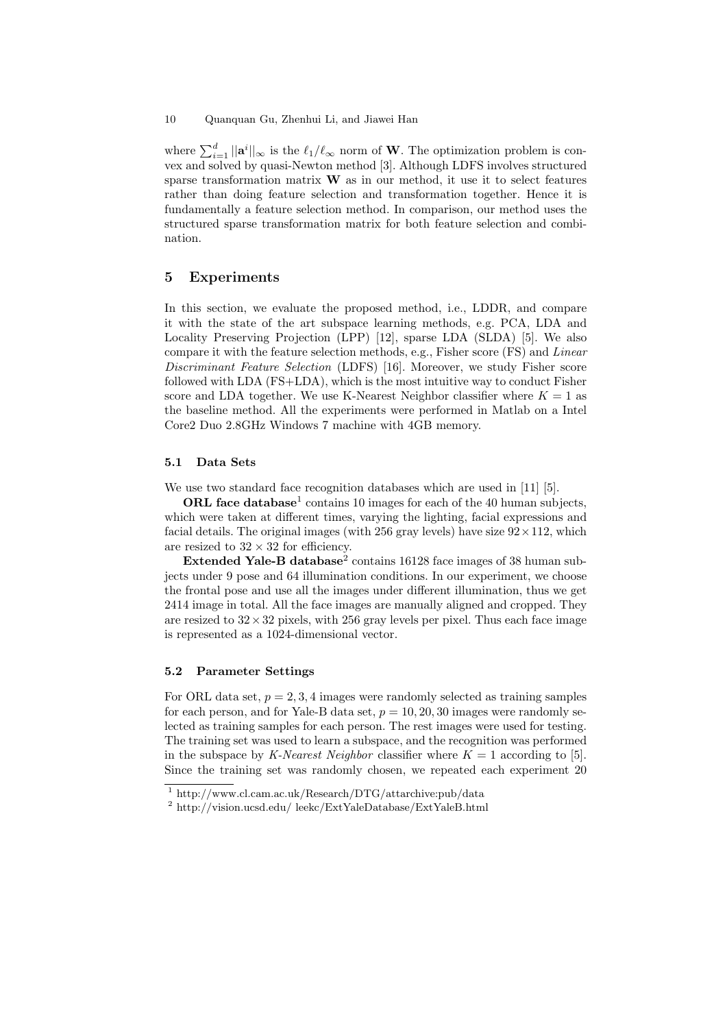where  $\sum_{i=1}^{d} ||\mathbf{a}^i||_{\infty}$  is the  $\ell_1/\ell_{\infty}$  norm of **W**. The optimization problem is convex and solved by quasi-Newton method [3]. Although LDFS involves structured sparse transformation matrix **W** as in our method, it use it to select features rather than doing feature selection and transformation together. Hence it is fundamentally a feature selection method. In comparison, our method uses the structured sparse transformation matrix for both feature selection and combination.

# **5 Experiments**

In this section, we evaluate the proposed method, i.e., LDDR, and compare it with the state of the art subspace learning methods, e.g. PCA, LDA and Locality Preserving Projection (LPP) [12], sparse LDA (SLDA) [5]. We also compare it with the feature selection methods, e.g., Fisher score (FS) and *Linear Discriminant Feature Selection* (LDFS) [16]. Moreover, we study Fisher score followed with LDA (FS+LDA), which is the most intuitive way to conduct Fisher score and LDA together. We use K-Nearest Neighbor classifier where  $K = 1$  as the baseline method. All the experiments were performed in Matlab on a Intel Core2 Duo 2.8GHz Windows 7 machine with 4GB memory.

## **5.1 Data Sets**

We use two standard face recognition databases which are used in [11] [5].

ORL face database<sup>1</sup> contains 10 images for each of the 40 human subjects, which were taken at different times, varying the lighting, facial expressions and facial details. The original images (with 256 gray levels) have size 92*×*112, which are resized to  $32 \times 32$  for efficiency.

**Extended Yale-B database**<sup>2</sup> contains 16128 face images of 38 human subjects under 9 pose and 64 illumination conditions. In our experiment, we choose the frontal pose and use all the images under different illumination, thus we get 2414 image in total. All the face images are manually aligned and cropped. They are resized to  $32 \times 32$  pixels, with 256 gray levels per pixel. Thus each face image is represented as a 1024-dimensional vector.

#### **5.2 Parameter Settings**

For ORL data set,  $p = 2, 3, 4$  images were randomly selected as training samples for each person, and for Yale-B data set,  $p = 10, 20, 30$  images were randomly selected as training samples for each person. The rest images were used for testing. The training set was used to learn a subspace, and the recognition was performed in the subspace by *K-Nearest Neighbor* classifier where  $K = 1$  according to [5]. Since the training set was randomly chosen, we repeated each experiment 20

<sup>1</sup> http://www.cl.cam.ac.uk/Research/DTG/attarchive:pub/data

 $^2$ http://vision.ucsd.edu/ leekc/ExtYaleDatabase/ExtYaleB.html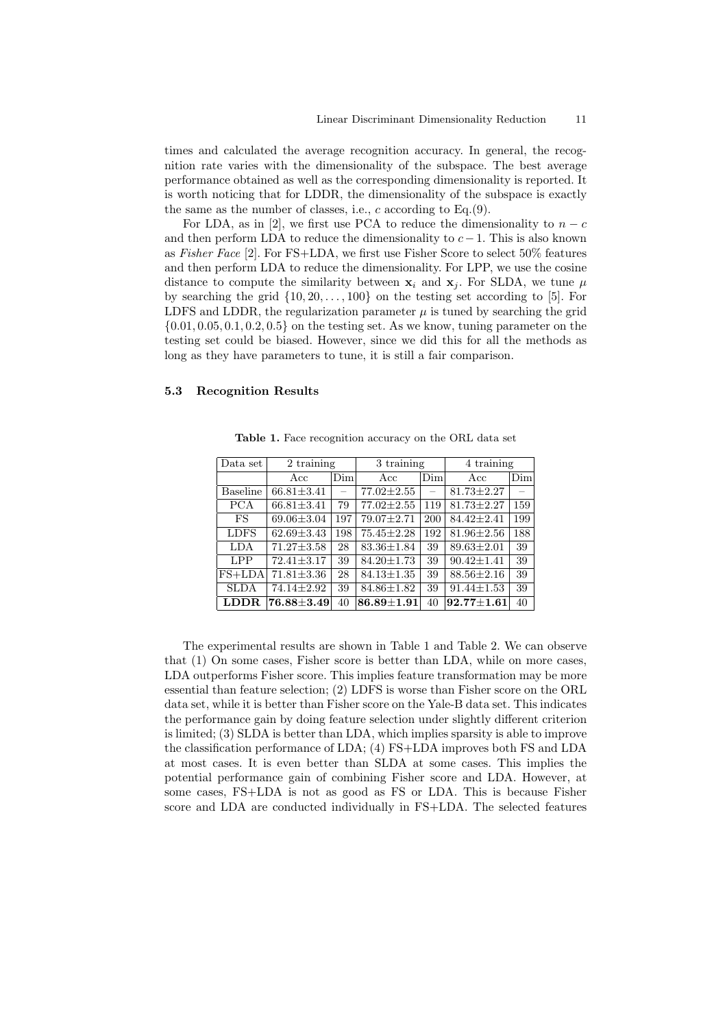times and calculated the average recognition accuracy. In general, the recognition rate varies with the dimensionality of the subspace. The best average performance obtained as well as the corresponding dimensionality is reported. It is worth noticing that for LDDR, the dimensionality of the subspace is exactly the same as the number of classes, i.e., *c* according to Eq.(9).

For LDA, as in [2], we first use PCA to reduce the dimensionality to  $n - c$ and then perform LDA to reduce the dimensionality to  $c-1$ . This is also known as *Fisher Face* [2]. For FS+LDA, we first use Fisher Score to select 50% features and then perform LDA to reduce the dimensionality. For LPP, we use the cosine distance to compute the similarity between  $\mathbf{x}_i$  and  $\mathbf{x}_j$ . For SLDA, we tune  $\mu$ by searching the grid *{*10*,* 20*, . . . ,* 100*}* on the testing set according to [5]. For LDFS and LDDR, the regularization parameter  $\mu$  is tuned by searching the grid *{*0*.*01*,* 0*.*05*,* 0*.*1*,* 0*.*2*,* 0*.*5*}* on the testing set. As we know, tuning parameter on the testing set could be biased. However, since we did this for all the methods as long as they have parameters to tune, it is still a fair comparison.

## **5.3 Recognition Results**

| Data set        | 2 training       |          | 3 training         |                          | 4 training       |     |
|-----------------|------------------|----------|--------------------|--------------------------|------------------|-----|
|                 | Acc              | Dim      | Acc                | Dim                      | Acc              | Dim |
| <b>Baseline</b> | $66.81 \pm 3.41$ | $\equiv$ | $77.02 \pm 2.55$   | $\overline{\phantom{0}}$ | $81.73 \pm 2.27$ |     |
| <b>PCA</b>      | $66.81 \pm 3.41$ | 79       | $77.02 \pm 2.55$   | 119                      | $81.73 \pm 2.27$ | 159 |
| <b>FS</b>       | $69.06 \pm 3.04$ | 197      | 79.07±2.71         | 200                      | $84.42 \pm 2.41$ | 199 |
| <b>LDFS</b>     | $62.69 \pm 3.43$ | 198      | $75.45 \pm 2.28$   | 192                      | $81.96 \pm 2.56$ | 188 |
| LDA             | $71.27 \pm 3.58$ | 28       | $83.36 \pm 1.84$   | 39                       | $89.63 \pm 2.01$ | 39  |
| <b>LPP</b>      | $72.41 \pm 3.17$ | 39       | $84.20 \pm 1.73$   | 39                       | $90.42 \pm 1.41$ | 39  |
| $FS+LDA$        | $71.81 \pm 3.36$ | 28       | $84.13 \pm 1.35$   | 39                       | $88.56 \pm 2.16$ | 39  |
| <b>SLDA</b>     | $74.14 + 2.92$   | 39       | $84.86 \pm 1.82$   | 39                       | $91.44 \pm 1.53$ | 39  |
| LDDR.           | 76.88±3.49       | 40       | $86.89 {\pm} 1.91$ | 40                       | $92.77 + 1.61$   | 40  |

**Table 1.** Face recognition accuracy on the ORL data set

The experimental results are shown in Table 1 and Table 2. We can observe that (1) On some cases, Fisher score is better than LDA, while on more cases, LDA outperforms Fisher score. This implies feature transformation may be more essential than feature selection; (2) LDFS is worse than Fisher score on the ORL data set, while it is better than Fisher score on the Yale-B data set. This indicates the performance gain by doing feature selection under slightly different criterion is limited; (3) SLDA is better than LDA, which implies sparsity is able to improve the classification performance of LDA; (4) FS+LDA improves both FS and LDA at most cases. It is even better than SLDA at some cases. This implies the potential performance gain of combining Fisher score and LDA. However, at some cases, FS+LDA is not as good as FS or LDA. This is because Fisher score and LDA are conducted individually in FS+LDA. The selected features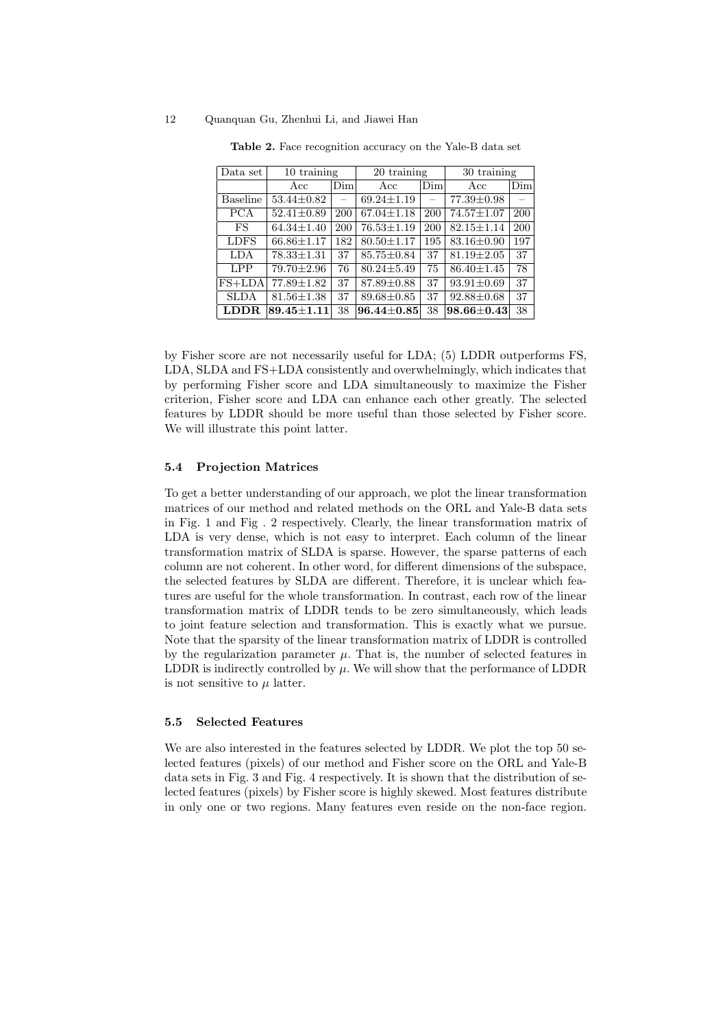| Data set        | 10 training          |                          | 20 training      |                          | 30 training      |     |
|-----------------|----------------------|--------------------------|------------------|--------------------------|------------------|-----|
|                 | Acc                  | Dim                      | Acc              | Dim                      | Acc              | Dim |
| <b>Baseline</b> | $53.44 \pm 0.82$     | $\overline{\phantom{0}}$ | $69.24 \pm 1.19$ | $\overline{\phantom{0}}$ | 77.39±0.98       |     |
| <b>PCA</b>      | $52.41 \pm 0.89$     | 200                      | $67.04 \pm 1.18$ | 200                      | $74.57 \pm 1.07$ | 200 |
| FS              | $64.34 \pm 1.40$     | 200                      | $76.53 \pm 1.19$ | 200                      | $82.15 \pm 1.14$ | 200 |
| <b>LDFS</b>     | $66.86 \pm 1.17$     | 182                      | $80.50 \pm 1.17$ | 195                      | $83.16 \pm 0.90$ | 197 |
| LDA             | $78.33 \pm 1.31$     | 37                       | $85.75 \pm 0.84$ | 37                       | $81.19 \pm 2.05$ | 37  |
| <b>LPP</b>      | $79.70 \pm 2.96$     | 76                       | $80.24 \pm 5.49$ | 75                       | $86.40 \pm 1.45$ | 78  |
| $FS+LDA$        | $77.89 \pm 1.82$     | 37                       | $87.89 \pm 0.88$ | 37                       | $93.91 \pm 0.69$ | 37  |
| <b>SLDA</b>     | $81.56 \pm 1.38$     | 37                       | $89.68 \pm 0.85$ | 37                       | $92.88 \pm 0.68$ | 37  |
| LDDR.           | $89.45 \!\pm\! 1.11$ | 38                       | $96.44 + 0.85$   | 38                       | $98.66 \pm 0.43$ | 38  |

**Table 2.** Face recognition accuracy on the Yale-B data set

by Fisher score are not necessarily useful for LDA; (5) LDDR outperforms FS, LDA, SLDA and FS+LDA consistently and overwhelmingly, which indicates that by performing Fisher score and LDA simultaneously to maximize the Fisher criterion, Fisher score and LDA can enhance each other greatly. The selected features by LDDR should be more useful than those selected by Fisher score. We will illustrate this point latter.

#### **5.4 Projection Matrices**

To get a better understanding of our approach, we plot the linear transformation matrices of our method and related methods on the ORL and Yale-B data sets in Fig. 1 and Fig . 2 respectively. Clearly, the linear transformation matrix of LDA is very dense, which is not easy to interpret. Each column of the linear transformation matrix of SLDA is sparse. However, the sparse patterns of each column are not coherent. In other word, for different dimensions of the subspace, the selected features by SLDA are different. Therefore, it is unclear which features are useful for the whole transformation. In contrast, each row of the linear transformation matrix of LDDR tends to be zero simultaneously, which leads to joint feature selection and transformation. This is exactly what we pursue. Note that the sparsity of the linear transformation matrix of LDDR is controlled by the regularization parameter  $\mu$ . That is, the number of selected features in LDDR is indirectly controlled by  $\mu$ . We will show that the performance of LDDR is not sensitive to  $\mu$  latter.

#### **5.5 Selected Features**

We are also interested in the features selected by LDDR. We plot the top 50 selected features (pixels) of our method and Fisher score on the ORL and Yale-B data sets in Fig. 3 and Fig. 4 respectively. It is shown that the distribution of selected features (pixels) by Fisher score is highly skewed. Most features distribute in only one or two regions. Many features even reside on the non-face region.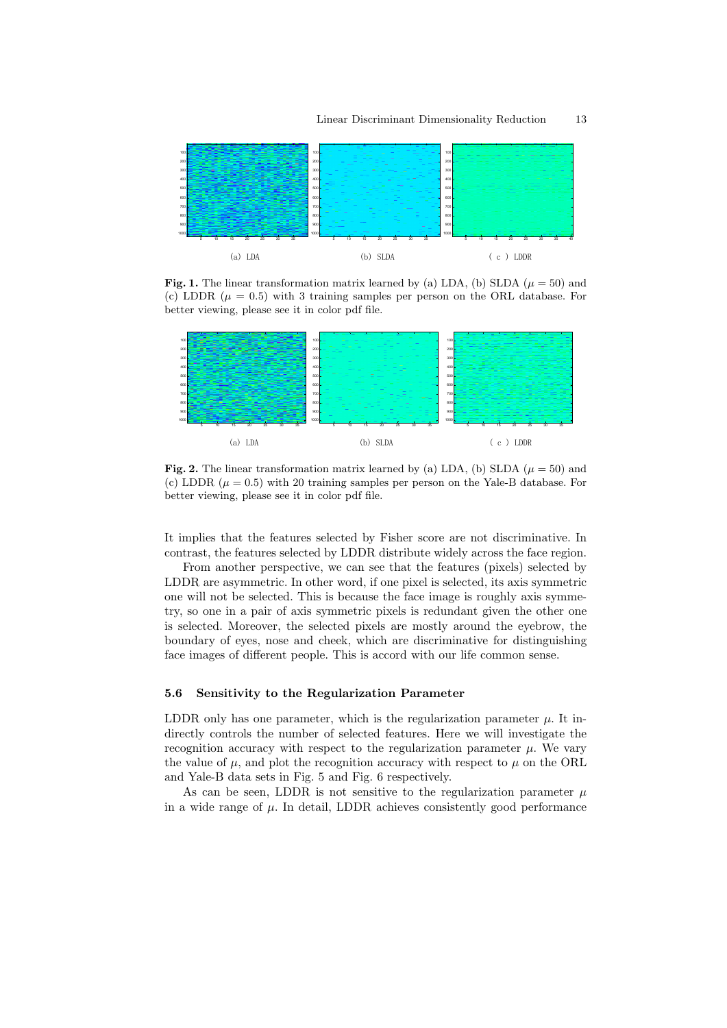

**Fig. 1.** The linear transformation matrix learned by (a) LDA, (b) SLDA ( $\mu = 50$ ) and (c) LDDR  $(\mu = 0.5)$  with 3 training samples per person on the ORL database. For better viewing, please see it in color pdf file.



**Fig. 2.** The linear transformation matrix learned by (a) LDA, (b) SLDA ( $\mu = 50$ ) and (c) LDDR  $(\mu = 0.5)$  with 20 training samples per person on the Yale-B database. For better viewing, please see it in color pdf file.

It implies that the features selected by Fisher score are not discriminative. In contrast, the features selected by LDDR distribute widely across the face region.

From another perspective, we can see that the features (pixels) selected by LDDR are asymmetric. In other word, if one pixel is selected, its axis symmetric one will not be selected. This is because the face image is roughly axis symmetry, so one in a pair of axis symmetric pixels is redundant given the other one is selected. Moreover, the selected pixels are mostly around the eyebrow, the boundary of eyes, nose and cheek, which are discriminative for distinguishing face images of different people. This is accord with our life common sense.

## **5.6 Sensitivity to the Regularization Parameter**

LDDR only has one parameter, which is the regularization parameter  $\mu$ . It indirectly controls the number of selected features. Here we will investigate the recognition accuracy with respect to the regularization parameter  $\mu$ . We vary the value of  $\mu$ , and plot the recognition accuracy with respect to  $\mu$  on the ORL and Yale-B data sets in Fig. 5 and Fig. 6 respectively.

As can be seen, LDDR is not sensitive to the regularization parameter  $\mu$ in a wide range of  $\mu$ . In detail, LDDR achieves consistently good performance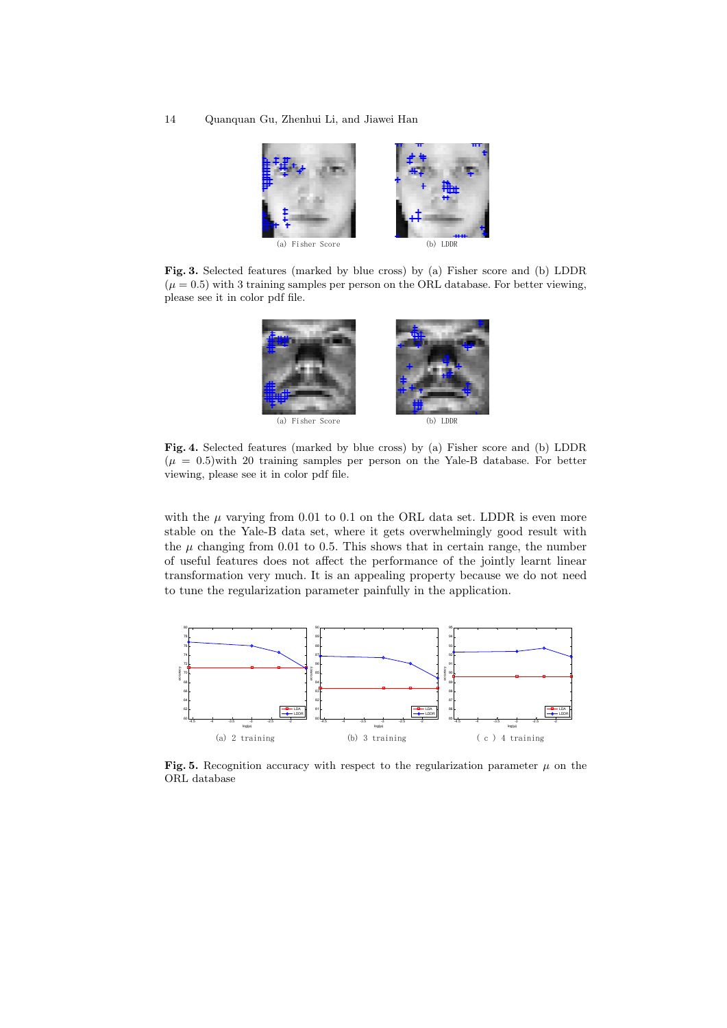

**Fig. 3.** Selected features (marked by blue cross) by (a) Fisher score and (b) LDDR  $(\mu = 0.5)$  with 3 training samples per person on the ORL database. For better viewing, please see it in color pdf file.



**Fig. 4.** Selected features (marked by blue cross) by (a) Fisher score and (b) LDDR  $(\mu = 0.5)$  with 20 training samples per person on the Yale-B database. For better viewing, please see it in color pdf file.

with the  $\mu$  varying from 0.01 to 0.1 on the ORL data set. LDDR is even more stable on the Yale-B data set, where it gets overwhelmingly good result with the  $\mu$  changing from 0.01 to 0.5. This shows that in certain range, the number of useful features does not affect the performance of the jointly learnt linear transformation very much. It is an appealing property because we do not need to tune the regularization parameter painfully in the application.



**Fig. 5.** Recognition accuracy with respect to the regularization parameter  $\mu$  on the ORL database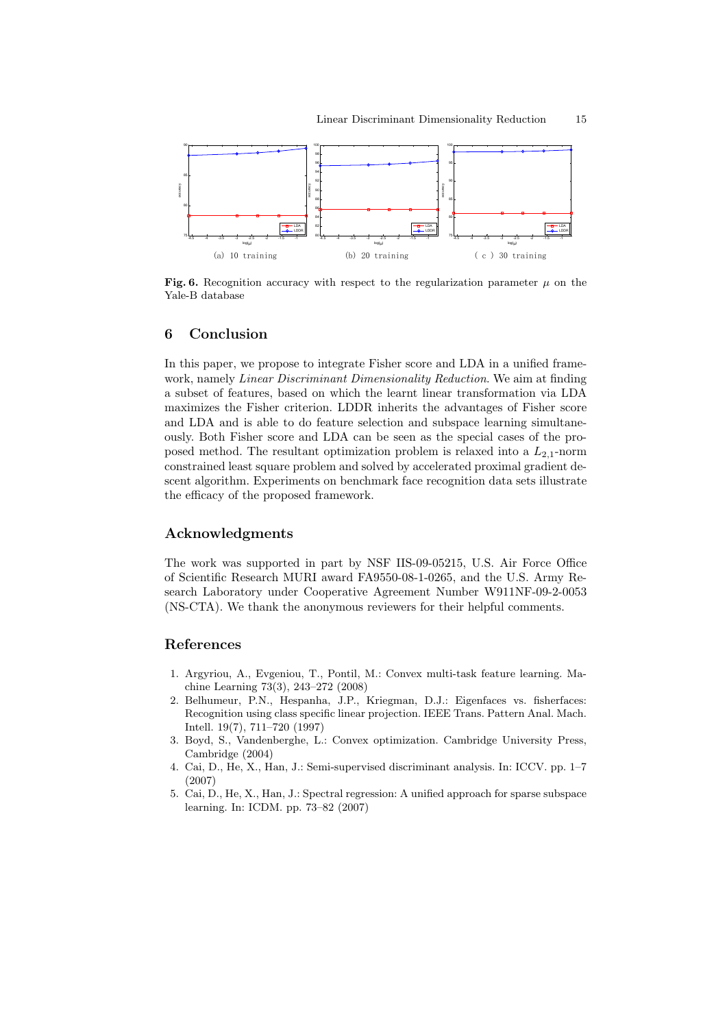

**Fig. 6.** Recognition accuracy with respect to the regularization parameter  $\mu$  on the Yale-B database

# **6 Conclusion**

In this paper, we propose to integrate Fisher score and LDA in a unified framework, namely *Linear Discriminant Dimensionality Reduction*. We aim at finding a subset of features, based on which the learnt linear transformation via LDA maximizes the Fisher criterion. LDDR inherits the advantages of Fisher score and LDA and is able to do feature selection and subspace learning simultaneously. Both Fisher score and LDA can be seen as the special cases of the proposed method. The resultant optimization problem is relaxed into a  $L_{2,1}$ -norm constrained least square problem and solved by accelerated proximal gradient descent algorithm. Experiments on benchmark face recognition data sets illustrate the efficacy of the proposed framework.

## **Acknowledgments**

The work was supported in part by NSF IIS-09-05215, U.S. Air Force Office of Scientific Research MURI award FA9550-08-1-0265, and the U.S. Army Research Laboratory under Cooperative Agreement Number W911NF-09-2-0053 (NS-CTA). We thank the anonymous reviewers for their helpful comments.

# **References**

- 1. Argyriou, A., Evgeniou, T., Pontil, M.: Convex multi-task feature learning. Machine Learning 73(3), 243–272 (2008)
- 2. Belhumeur, P.N., Hespanha, J.P., Kriegman, D.J.: Eigenfaces vs. fisherfaces: Recognition using class specific linear projection. IEEE Trans. Pattern Anal. Mach. Intell. 19(7), 711–720 (1997)
- 3. Boyd, S., Vandenberghe, L.: Convex optimization. Cambridge University Press, Cambridge (2004)
- 4. Cai, D., He, X., Han, J.: Semi-supervised discriminant analysis. In: ICCV. pp. 1–7 (2007)
- 5. Cai, D., He, X., Han, J.: Spectral regression: A unified approach for sparse subspace learning. In: ICDM. pp. 73–82 (2007)